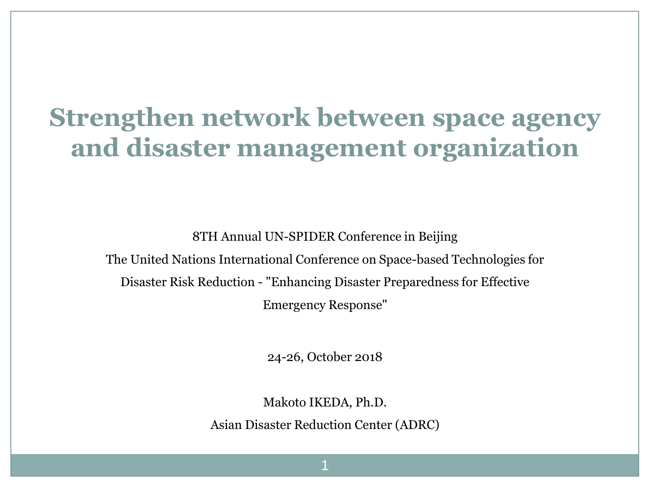## **Strengthen network between space agency and disaster management organization**

8TH Annual UN-SPIDER Conference in Beijing

The United Nations International Conference on Space-based Technologies for Disaster Risk Reduction - "Enhancing Disaster Preparedness for Effective

Emergency Response"

24-26, October 2018

Makoto IKEDA, Ph.D.

Asian Disaster Reduction Center (ADRC)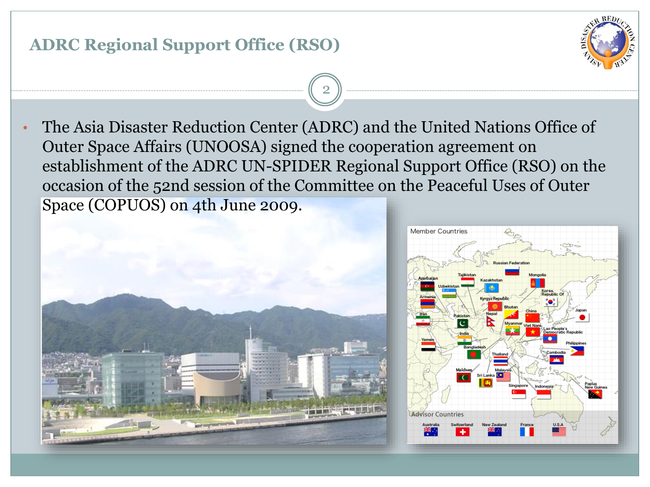# **ADRC Regional Support Office (RSO)** 2 • The Asia Disaster Reduction Center (ADRC) and the United Nations Office of

Outer Space Affairs (UNOOSA) signed the cooperation agreement on establishment of the ADRC UN-SPIDER Regional Support Office (RSO) on the occasion of the 52nd session of the Committee on the Peaceful Uses of Outer Space (COPUOS) on 4th June 2009.



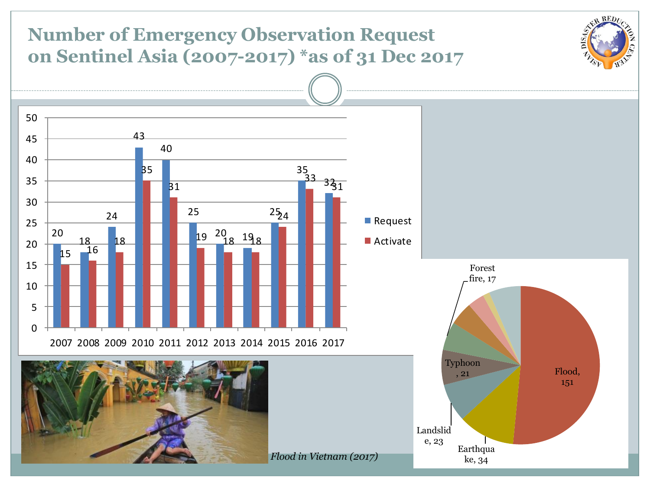#### -REL **Number of Emergency Observation Request on Sentinel Asia (2007-2017) \*as of 31 Dec 2017** ----<br>50<br>50 —<br>50<br>45 43  $\begin{array}{c}\n\hline\n\end{array}$ 45  $\frac{1}{3}$ <br> $\frac{33}{5}$ 40  $\begin{array}{c} 3\overline{3}_1 \\ -1 \end{array}$ 40<br>35 35<br>30 35  $\frac{1}{254}$ **31** 30<br>25 <sup>5</sup><br>19 <sup>20</sup> 18 19<sub>8</sub> 25 24  $\frac{18}{15}$   $\frac{18}{16}$ **Request** 25 20 18 ■ Activate  $\frac{18}{16}$  $20$  $\begin{array}{c} 15 \\ 10 \end{array}$ Forest fire, 17 5  $\Omega$ 2007 2008 2009 2010 2011 2012 2013 2014 2015 2016 2017 Typhoon Flood, , 21 151 Landslid e, 23 **Earthqua** *Flood in Vietnam (2017)*ke, 34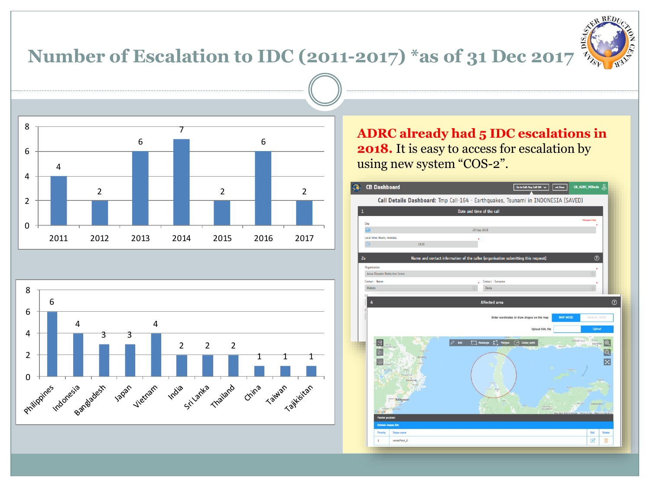### **Number of Escalation to IDC (2011-2017) \*as of 31 Dec 2017**







**ADRC already had 5 IDC escalations in 2018.** It is easy to access for escalation by using new system "COS-2".

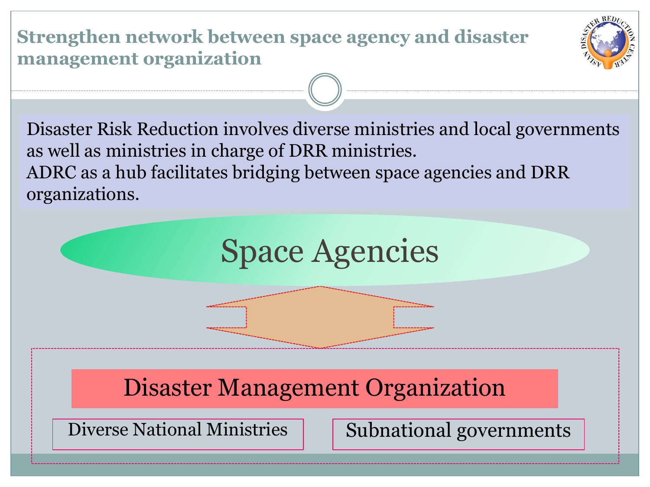**Strengthen network between space agency and disaster management organization**



Disaster Risk Reduction involves diverse ministries and local governments as well as ministries in charge of DRR ministries. ADRC as a hub facilitates bridging between space agencies and DRR organizations.

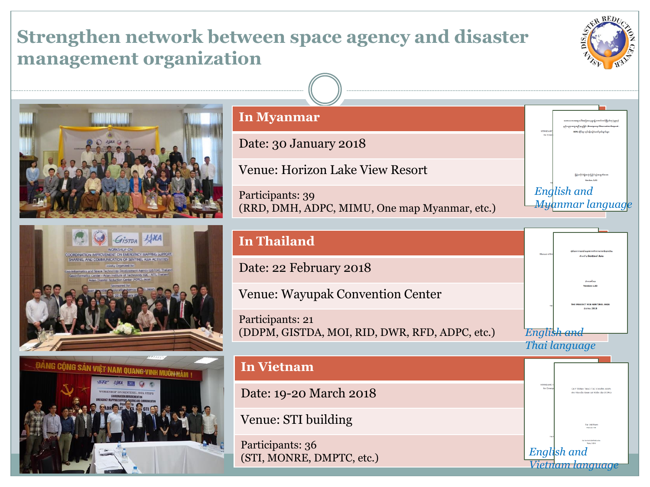### **Strengthen network between space agency and disaster management organization**









#### **In Myanmar**

Date: 30 January 2018

Venue: Horizon Lake View Resort

Participants: 39 (RRD, DMH, ADPC, MIMU, One map Myanmar, etc.)



*English and* 

*Vietnam language*

#### **In Thailand** Date: 22 February 2018 Venue: Wayupak Convention Center Participants: 21 (DDPM, GISTDA, MOI, RID, DWR, RFD, ADPC, etc.) **In Vietnam** Date: 19-20 March 2018 Venue: STI building *English and Thai language*

Participants: 36 (STI, MONRE, DMPTC, etc.)